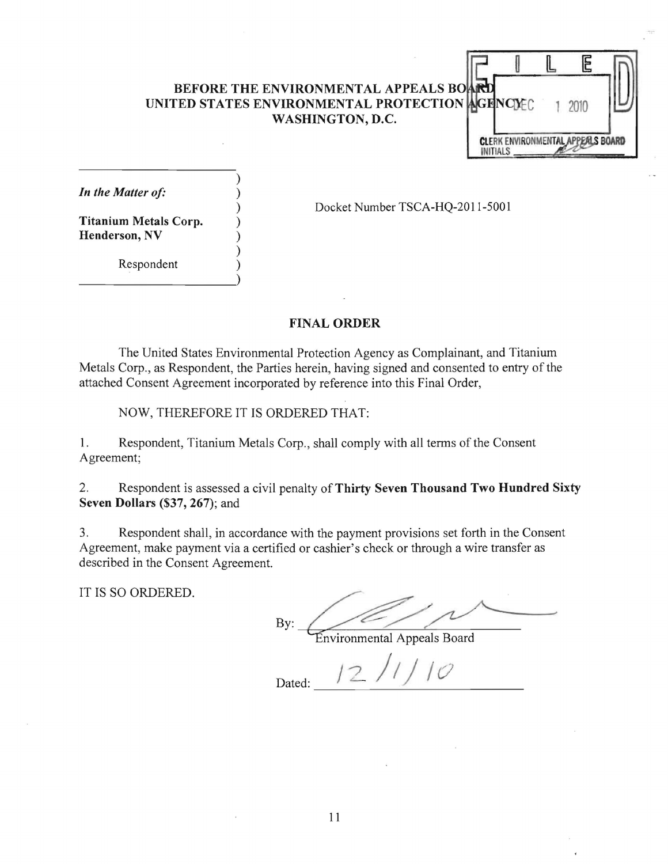## BEFORE THE ENVIRONMENTAL APPEALS BO UNITED STATES ENVIRONMENTAL PROTECTION AGENCIEC 1 2010 WASHINGTON, D.C.



In the Matter of:

) Docket Number TSCA-HQ-2011-5001

Titanium Metals Corp. ) Henderson, NV

**Respondent** 

------------------~)

## FINAL ORDER

The United States Environmental Protection Agency as Complainant, and Titanium Metals Corp., as Respondent, the Parties herein, having signed and consented to entry of the attached Consent Agreement incorporated by reference into this Final Order,

NOW, THEREFORE IT IS ORDERED THAT:

)

)

1. Respondent, Titanium Metals Corp., shall comply with all terms of the Consent Agreement;

2. Respondent is assessed a civil penalty of Thirty Seven Thousand Two Hundred Sixty Seven Dollars (\$37,267); and

3. Respondent shall, in accordance with the payment provisions set forth in the Consent Agreement, make payment via a certified or cashier's check or through a wire transfer as described in the Consent Agreement.

IT IS SO ORDERED.

By: ne payment provisions set forth in the Consent<br>
shier's check or through a wire transfer as<br>
mvironmental Appeals Board

Dated: 12/1/10